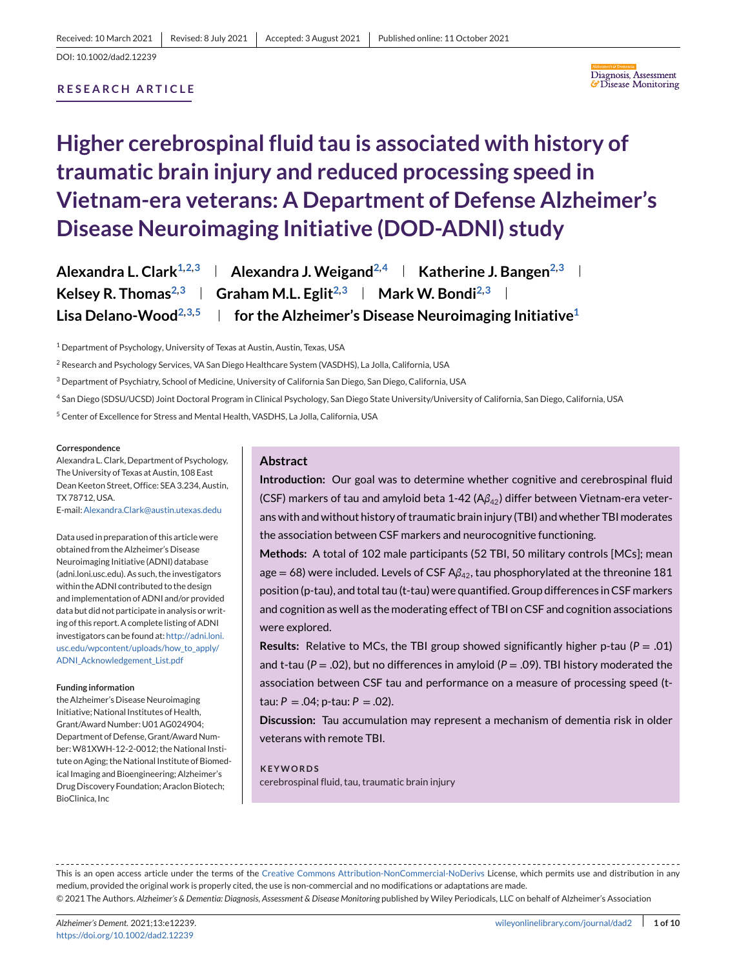## **RESEARCH ARTICLE**



# **Higher cerebrospinal fluid tau is associated with history of traumatic brain injury and reduced processing speed in Vietnam-era veterans: A Department of Defense Alzheimer's Disease Neuroimaging Initiative (DOD-ADNI) study**

| Alexandra L. Clark <sup>1,2,3</sup> | Alexandra J. Weigand <sup>2,4</sup>   Katherine J. Bangen <sup>2,3</sup>                          |
|-------------------------------------|---------------------------------------------------------------------------------------------------|
|                                     | Kelsey R. Thomas <sup>2,3</sup>   Graham M.L. Eglit <sup>2,3</sup>   Mark W. Bondi <sup>2,3</sup> |
| Lisa Delano-Wood $^{2,3,5}$         | $\parallel$ for the Alzheimer's Disease Neuroimaging Initiative <sup>1</sup>                      |

<sup>1</sup> Department of Psychology, University of Texas at Austin, Austin, Texas, USA

<sup>2</sup> Research and Psychology Services, VA San Diego Healthcare System (VASDHS), La Jolla, California, USA

<sup>3</sup> Department of Psychiatry, School of Medicine, University of California San Diego, San Diego, California, USA

<sup>4</sup> San Diego (SDSU/UCSD) Joint Doctoral Program in Clinical Psychology, San Diego State University/University of California, San Diego, California, USA

<sup>5</sup> Center of Excellence for Stress and Mental Health, VASDHS, La Jolla, California, USA

#### **Correspondence**

Alexandra L. Clark, Department of Psychology, The University of Texas at Austin, 108 East Dean Keeton Street, Office: SEA 3.234, Austin, TX 78712, USA.

E-mail:[Alexandra.Clark@austin.utexas.dedu](mailto:Alexandra.Clark@austin.utexas.dedu)

Data used in preparation of this article were obtained from the Alzheimer's Disease Neuroimaging Initiative (ADNI) database (adni.loni.usc.edu). As such, the investigators within the ADNI contributed to the design and implementation of ADNI and/or provided data but did not participate in analysis or writing of this report. A complete listing of ADNI investigators can be found at: [http://adni.loni.](http://adni.loni.usc.edu/wpcontent/uploads/how_to_apply/ADNI_Acknowledgement_List.pdf) usc.edu/wpcontent/uploads/how to apply/ [ADNI\\_Acknowledgement\\_List.pdf](http://adni.loni.usc.edu/wpcontent/uploads/how_to_apply/ADNI_Acknowledgement_List.pdf)

#### **Funding information**

the Alzheimer's Disease Neuroimaging Initiative; National Institutes of Health, Grant/Award Number: U01 AG024904; Department of Defense, Grant/Award Number:W81XWH-12-2-0012; the National Institute on Aging; the National Institute of Biomedical Imaging and Bioengineering; Alzheimer's Drug Discovery Foundation; Araclon Biotech; BioClinica, Inc

#### **Abstract**

**Introduction:** Our goal was to determine whether cognitive and cerebrospinal fluid (CSF) markers of tau and amyloid beta 1-42 (Aβ<sub>42</sub>) differ between Vietnam-era veterans with and without history of traumatic brain injury (TBI) and whether TBI moderates the association between CSF markers and neurocognitive functioning.

**Methods:** A total of 102 male participants (52 TBI, 50 military controls [MCs]; mean age = 68) were included. Levels of CSF Aβ<sub>42</sub>, tau phosphorylated at the threonine 181 position (p-tau), and total tau (t-tau) were quantified. Group differences in CSF markers and cognition as well as the moderating effect of TBI on CSF and cognition associations were explored.

**Results:** Relative to MCs, the TBI group showed significantly higher p-tau ( $P = .01$ ) and t-tau (*P* = .02), but no differences in amyloid (*P* = .09). TBI history moderated the association between CSF tau and performance on a measure of processing speed (ttau:  $P = .04$ ; p-tau:  $P = .02$ ).

**Discussion:** Tau accumulation may represent a mechanism of dementia risk in older veterans with remote TBI.

# **KEYWORDS**

cerebrospinal fluid, tau, traumatic brain injury

This is an open access article under the terms of the [Creative Commons Attribution-NonCommercial-NoDerivs](http://creativecommons.org/licenses/by-nc-nd/4.0/) License, which permits use and distribution in any medium, provided the original work is properly cited, the use is non-commercial and no modifications or adaptations are made.

© 2021 The Authors. *Alzheimer's & Dementia: Diagnosis, Assessment & Disease Monitoring* published by Wiley Periodicals, LLC on behalf of Alzheimer's Association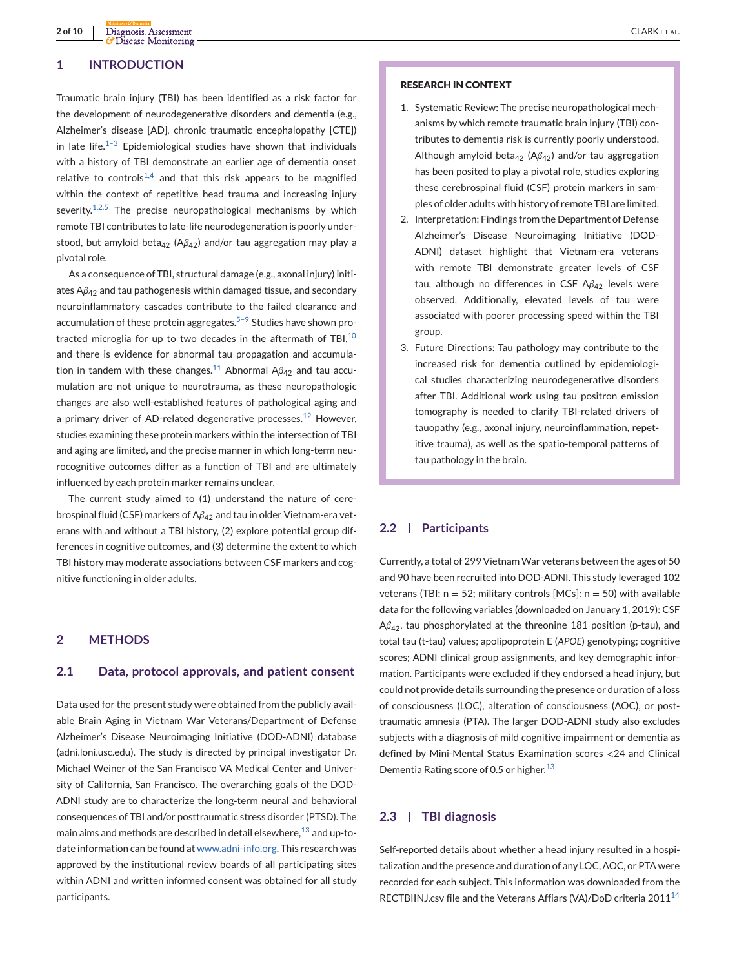## **1 INTRODUCTION**

Traumatic brain injury (TBI) has been identified as a risk factor for the development of neurodegenerative disorders and dementia (e.g., Alzheimer's disease [AD], chronic traumatic encephalopathy [CTE]) in late life.<sup>1-3</sup> Epidemiological studies have shown that individuals with a history of TBI demonstrate an earlier age of dementia onset relative to controls<sup>[1,4](#page-7-0)</sup> and that this risk appears to be magnified within the context of repetitive head trauma and increasing injury severity.<sup>[1,2,5](#page-7-0)</sup> The precise neuropathological mechanisms by which remote TBI contributes to late-life neurodegeneration is poorly understood, but amyloid beta<sub>42</sub> (A $\beta$ <sub>42</sub>) and/or tau aggregation may play a pivotal role.

As a consequence of TBI, structural damage (e.g., axonal injury) initiates A*β*<sup>42</sup> and tau pathogenesis within damaged tissue, and secondary neuroinflammatory cascades contribute to the failed clearance and accumulation of these protein aggregates.<sup>5-9</sup> Studies have shown protracted microglia for up to two decades in the aftermath of TBI, $10$ and there is evidence for abnormal tau propagation and accumula-tion in tandem with these changes.<sup>[11](#page-8-0)</sup> Abnormal A $\beta_{42}$  and tau accumulation are not unique to neurotrauma, as these neuropathologic changes are also well-established features of pathological aging and a primary driver of AD-related degenerative processes.<sup>[12](#page-8-0)</sup> However, studies examining these protein markers within the intersection of TBI and aging are limited, and the precise manner in which long-term neurocognitive outcomes differ as a function of TBI and are ultimately influenced by each protein marker remains unclear.

The current study aimed to (1) understand the nature of cerebrospinal fluid (CSF) markers of A*β*<sup>42</sup> and tau in older Vietnam-era veterans with and without a TBI history, (2) explore potential group differences in cognitive outcomes, and (3) determine the extent to which TBI history may moderate associations between CSF markers and cognitive functioning in older adults.

## **2 METHODS**

#### **2.1 Data, protocol approvals, and patient consent**

Data used for the present study were obtained from the publicly available Brain Aging in Vietnam War Veterans/Department of Defense Alzheimer's Disease Neuroimaging Initiative (DOD-ADNI) database (adni.loni.usc.edu). The study is directed by principal investigator Dr. Michael Weiner of the San Francisco VA Medical Center and University of California, San Francisco. The overarching goals of the DOD-ADNI study are to characterize the long-term neural and behavioral consequences of TBI and/or posttraumatic stress disorder (PTSD). The main aims and methods are described in detail elsewhere,  $13$  and up-todate information can be found at [www.adni-info.org.](http://www.adni-info.org) This research was approved by the institutional review boards of all participating sites within ADNI and written informed consent was obtained for all study participants.

## **RESEARCH IN CONTEXT**

- 1. Systematic Review: The precise neuropathological mechanisms by which remote traumatic brain injury (TBI) contributes to dementia risk is currently poorly understood. Although amyloid beta<sub>42</sub> (A $\beta$ <sub>42</sub>) and/or tau aggregation has been posited to play a pivotal role, studies exploring these cerebrospinal fluid (CSF) protein markers in samples of older adults with history of remote TBI are limited.
- 2. Interpretation: Findings from the Department of Defense Alzheimer's Disease Neuroimaging Initiative (DOD-ADNI) dataset highlight that Vietnam-era veterans with remote TBI demonstrate greater levels of CSF tau, although no differences in CSF Aβ<sub>42</sub> levels were observed. Additionally, elevated levels of tau were associated with poorer processing speed within the TBI group.
- 3. Future Directions: Tau pathology may contribute to the increased risk for dementia outlined by epidemiological studies characterizing neurodegenerative disorders after TBI. Additional work using tau positron emission tomography is needed to clarify TBI-related drivers of tauopathy (e.g., axonal injury, neuroinflammation, repetitive trauma), as well as the spatio-temporal patterns of tau pathology in the brain.

## **2.2 Participants**

Currently, a total of 299 Vietnam War veterans between the ages of 50 and 90 have been recruited into DOD-ADNI. This study leveraged 102 veterans (TBI:  $n = 52$ ; military controls [MCs]:  $n = 50$ ) with available data for the following variables (downloaded on January 1, 2019): CSF A*β*42, tau phosphorylated at the threonine 181 position (p-tau), and total tau (t-tau) values; apolipoprotein E (*APOE*) genotyping; cognitive scores; ADNI clinical group assignments, and key demographic information. Participants were excluded if they endorsed a head injury, but could not provide details surrounding the presence or duration of a loss of consciousness (LOC), alteration of consciousness (AOC), or posttraumatic amnesia (PTA). The larger DOD-ADNI study also excludes subjects with a diagnosis of mild cognitive impairment or dementia as defined by Mini-Mental Status Examination scores <24 and Clinical Dementia Rating score of 0.5 or higher.<sup>[13](#page-8-0)</sup>

## **2.3 TBI diagnosis**

Self-reported details about whether a head injury resulted in a hospitalization and the presence and duration of any LOC, AOC, or PTA were recorded for each subject. This information was downloaded from the RECTBIINJ.csv file and the Veterans Affiars (VA)/DoD criteria 2011[14](#page-8-0)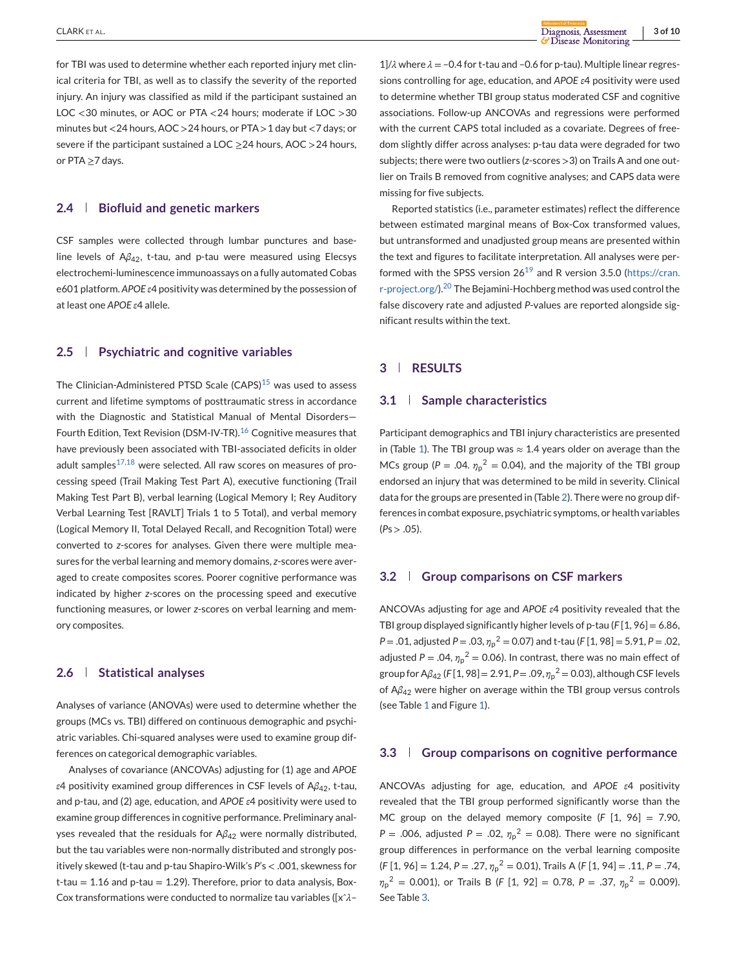for TBI was used to determine whether each reported injury met clinical criteria for TBI, as well as to classify the severity of the reported injury. An injury was classified as mild if the participant sustained an LOC <30 minutes, or AOC or PTA <24 hours; moderate if LOC >30 minutes but <24 hours, AOC >24 hours, or PTA >1 day but <7 days; or severe if the participant sustained a LOC  $\geq$  24 hours, AOC  $>$  24 hours, or PTA ≥7 days.

#### **2.4 Biofluid and genetic markers**

CSF samples were collected through lumbar punctures and baseline levels of A*β*42, t-tau, and p-tau were measured using Elecsys electrochemi-luminescence immunoassays on a fully automated Cobas e601 platform. *APOE ε*4 positivity was determined by the possession of at least one *APOE ε*4 allele.

## **2.5 Psychiatric and cognitive variables**

The Clinician-Administered PTSD Scale (CAPS)<sup>[15](#page-8-0)</sup> was used to assess current and lifetime symptoms of posttraumatic stress in accordance with the Diagnostic and Statistical Manual of Mental Disorders— Fourth Edition, Text Revision (DSM-IV-TR).<sup>[16](#page-8-0)</sup> Cognitive measures that have previously been associated with TBI-associated deficits in older adult samples $17,18$  were selected. All raw scores on measures of processing speed (Trail Making Test Part A), executive functioning (Trail Making Test Part B), verbal learning (Logical Memory I; Rey Auditory Verbal Learning Test [RAVLT] Trials 1 to 5 Total), and verbal memory (Logical Memory II, Total Delayed Recall, and Recognition Total) were converted to *z*-scores for analyses. Given there were multiple measures for the verbal learning and memory domains, *z*-scores were averaged to create composites scores. Poorer cognitive performance was indicated by higher *z*-scores on the processing speed and executive functioning measures, or lower *z*-scores on verbal learning and memory composites.

### **2.6 Statistical analyses**

Analyses of variance (ANOVAs) were used to determine whether the groups (MCs vs. TBI) differed on continuous demographic and psychiatric variables. Chi-squared analyses were used to examine group differences on categorical demographic variables.

Analyses of covariance (ANCOVAs) adjusting for (1) age and *APOE ε*4 positivity examined group differences in CSF levels of A*β*42, t-tau, and p-tau, and (2) age, education, and *APOE ε*4 positivity were used to examine group differences in cognitive performance. Preliminary analyses revealed that the residuals for A*β*<sup>42</sup> were normally distributed, but the tau variables were non-normally distributed and strongly positively skewed (t-tau and p-tau Shapiro-Wilk's *P*'s < .001, skewness for  $t$ -tau = 1.16 and p-tau = 1.29). Therefore, prior to data analysis, Box-Cox transformations were conducted to normalize tau variables ([xˆ*λ*–

1]/*λ* where *λ* = –0.4 for t-tau and –0.6 for p-tau). Multiple linear regressions controlling for age, education, and *APOE ε*4 positivity were used to determine whether TBI group status moderated CSF and cognitive associations. Follow-up ANCOVAs and regressions were performed with the current CAPS total included as a covariate. Degrees of freedom slightly differ across analyses: p-tau data were degraded for two subjects; there were two outliers (*z*-scores >3) on Trails A and one outlier on Trails B removed from cognitive analyses; and CAPS data were missing for five subjects.

Reported statistics (i.e., parameter estimates) reflect the difference between estimated marginal means of Box-Cox transformed values, but untransformed and unadjusted group means are presented within the text and figures to facilitate interpretation. All analyses were performed with the SPSS version  $26^{19}$  $26^{19}$  $26^{19}$  and R version 3.5.0 [\(https://cran.](https://cran.r-project.org/) [r-project.org/\)](https://cran.r-project.org/).[20](#page-8-0) The Bejamini-Hochberg method was used control the false discovery rate and adjusted *P*-values are reported alongside significant results within the text.

## **3 RESULTS**

#### **3.1 Sample characteristics**

Participant demographics and TBI injury characteristics are presented in (Table [1\)](#page-3-0). The TBI group was  $\approx$  1.4 years older on average than the MCs group ( $P = .04$ .  $\eta_p^2 = 0.04$ ), and the majority of the TBI group endorsed an injury that was determined to be mild in severity. Clinical data for the groups are presented in (Table [2\)](#page-4-0). There were no group differences in combat exposure, psychiatric symptoms, or health variables  $(Ps > .05)$ .

## **3.2 Group comparisons on CSF markers**

ANCOVAs adjusting for age and *APOE ε*4 positivity revealed that the TBI group displayed significantly higher levels of p-tau (*F* [1, 96] = 6.86, *P* = .01, adjusted *P* = .03, *η*<sup>p</sup> <sup>2</sup> = 0.07) and t-tau (*F* [1, 98] = 5.91, *P* = .02, adjusted  $P = .04$ ,  $\eta_p^2 = 0.06$ ). In contrast, there was no main effect of group for A*β*<sup>42</sup> (*F* [1, 98] = 2.91, *P* = .09, *η*<sup>p</sup> <sup>2</sup> = 0.03), although CSF levels of A*β*<sup>42</sup> were higher on average within the TBI group versus controls (see Table [1](#page-3-0) and Figure [1\)](#page-4-0).

#### **3.3 Group comparisons on cognitive performance**

ANCOVAs adjusting for age, education, and *APOE ε*4 positivity revealed that the TBI group performed significantly worse than the MC group on the delayed memory composite (*F* [1, 96] = 7.90, *P* = .006, adjusted *P* = .02,  $\eta_p^2$  = 0.08). There were no significant group differences in performance on the verbal learning composite (*F* [1, 96] = 1.24, *P* = .27, *η*<sup>p</sup> <sup>2</sup> = 0.01), Trails A (*F* [1, 94] = .11, *P* = .74, *η*p <sup>2</sup> = 0.001), or Trails B (*F* [1, 92] = 0.78, *P* = .37, *η*<sup>p</sup> <sup>2</sup> = 0.009). See Table [3.](#page-5-0)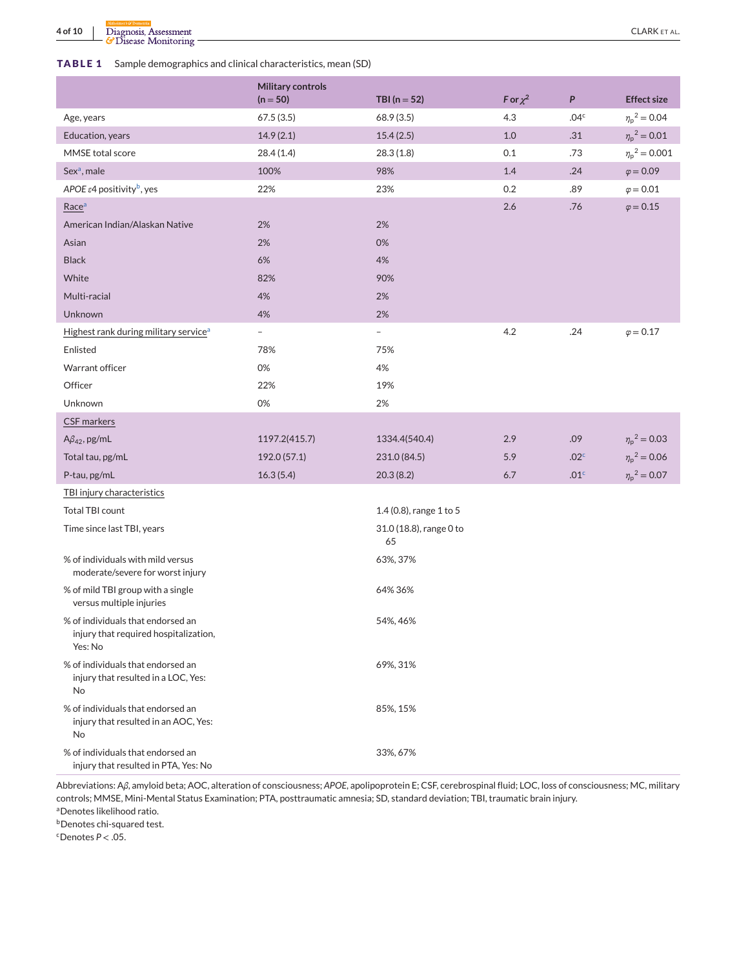## <span id="page-3-0"></span>**TABLE 1** Sample demographics and clinical characteristics, mean (SD)

|                                                                                       | <b>Military controls</b> |                               |               |                  |                           |
|---------------------------------------------------------------------------------------|--------------------------|-------------------------------|---------------|------------------|---------------------------|
|                                                                                       | $(n = 50)$               | TBI ( $n = 52$ )              | F or $\chi^2$ | P                | <b>Effect size</b>        |
| Age, years                                                                            | 67.5(3.5)                | 68.9 (3.5)                    | 4.3           | .04 <sup>c</sup> | $\eta_p^2 = 0.04$         |
| Education, years                                                                      | 14.9(2.1)                | 15.4(2.5)                     | 1.0           | .31              | $\eta_{\rm p}{}^2 = 0.01$ |
| MMSE total score                                                                      | 28.4(1.4)                | 28.3(1.8)                     | 0.1           | .73              | $\eta_p^2 = 0.001$        |
| Sex <sup>a</sup> , male                                                               | 100%                     | 98%                           | 1.4           | .24              | $\varphi = 0.09$          |
| APOE $\varepsilon$ 4 positivity <sup>b</sup> , yes                                    | 22%                      | 23%                           | 0.2           | .89              | $\varphi = 0.01$          |
| Race <sup>a</sup>                                                                     |                          |                               | 2.6           | .76              | $\varphi = 0.15$          |
| American Indian/Alaskan Native                                                        | 2%                       | 2%                            |               |                  |                           |
| Asian                                                                                 | 2%                       | 0%                            |               |                  |                           |
| <b>Black</b>                                                                          | 6%                       | 4%                            |               |                  |                           |
| White                                                                                 | 82%                      | 90%                           |               |                  |                           |
| Multi-racial                                                                          | 4%                       | 2%                            |               |                  |                           |
| Unknown                                                                               | 4%                       | 2%                            |               |                  |                           |
| Highest rank during military service <sup>a</sup>                                     | $\overline{\phantom{a}}$ | $\overline{\phantom{a}}$      | 4.2           | .24              | $\varphi = 0.17$          |
| Enlisted                                                                              | 78%                      | 75%                           |               |                  |                           |
| Warrant officer                                                                       | 0%                       | 4%                            |               |                  |                           |
| Officer                                                                               | 22%                      | 19%                           |               |                  |                           |
| Unknown                                                                               | 0%                       | 2%                            |               |                  |                           |
| CSF markers                                                                           |                          |                               |               |                  |                           |
| $A\beta_{42}$ , pg/mL                                                                 | 1197.2(415.7)            | 1334.4(540.4)                 | 2.9           | .09              | $\eta_{\rm p}{}^2 = 0.03$ |
| Total tau, pg/mL                                                                      | 192.0 (57.1)             | 231.0 (84.5)                  | 5.9           | .02 <sup>c</sup> | $\eta_p^2 = 0.06$         |
| P-tau, pg/mL                                                                          | 16.3(5.4)                | 20.3(8.2)                     | 6.7           | .01 <sup>c</sup> | $\eta_{\rm p}{}^2 = 0.07$ |
| TBI injury characteristics                                                            |                          |                               |               |                  |                           |
| Total TBI count                                                                       |                          | 1.4 $(0.8)$ , range 1 to 5    |               |                  |                           |
| Time since last TBI, years                                                            |                          | 31.0 (18.8), range 0 to<br>65 |               |                  |                           |
| % of individuals with mild versus<br>moderate/severe for worst injury                 |                          | 63%, 37%                      |               |                  |                           |
| % of mild TBI group with a single<br>versus multiple injuries                         |                          | 64% 36%                       |               |                  |                           |
| % of individuals that endorsed an<br>injury that required hospitalization,<br>Yes: No |                          | 54%, 46%                      |               |                  |                           |
| % of individuals that endorsed an<br>injury that resulted in a LOC, Yes:<br>No        |                          | 69%, 31%                      |               |                  |                           |
| % of individuals that endorsed an<br>injury that resulted in an AOC, Yes:<br>No       |                          | 85%, 15%                      |               |                  |                           |
| % of individuals that endorsed an<br>injury that resulted in PTA, Yes: No             |                          | 33%, 67%                      |               |                  |                           |

Abbreviations: A*β*, amyloid beta; AOC, alteration of consciousness; *APOE*, apolipoprotein E; CSF, cerebrospinal fluid; LOC, loss of consciousness; MC, military controls; MMSE, Mini-Mental Status Examination; PTA, posttraumatic amnesia; SD, standard deviation; TBI, traumatic brain injury.

aDenotes likelihood ratio.

**b**Denotes chi-squared test.

 $c$ Denotes  $P < .05$ .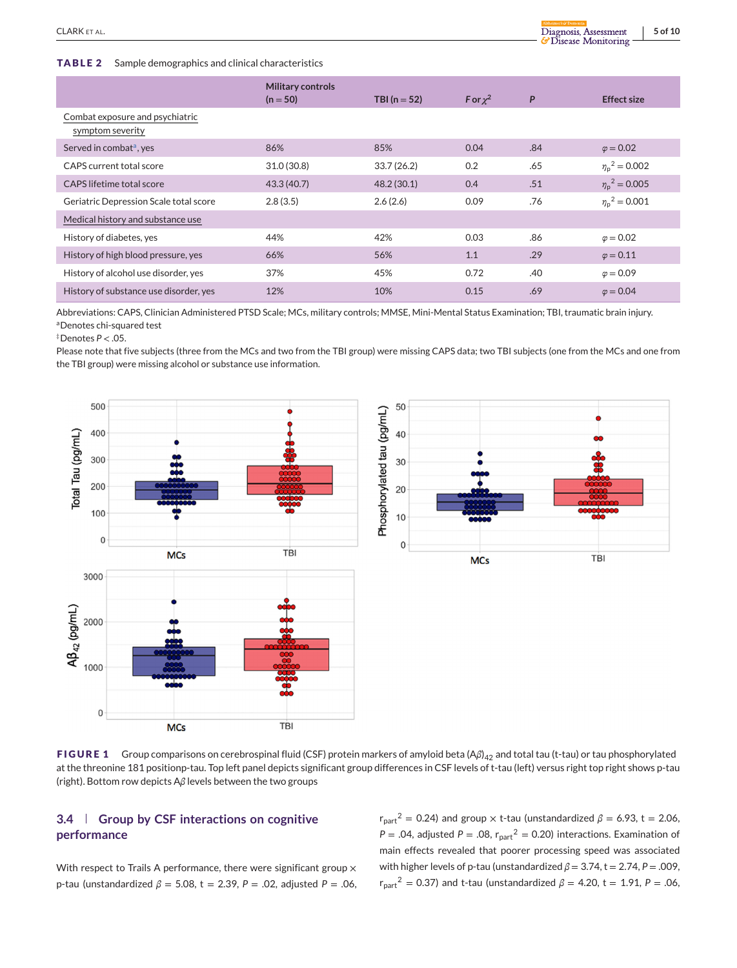#### <span id="page-4-0"></span>**TABLE 2** Sample demographics and clinical characteristics

|                                                     | <b>Military controls</b><br>$(n = 50)$ | TBI ( $n = 52$ ) | F or $\chi^2$ | P   | <b>Effect size</b>         |
|-----------------------------------------------------|----------------------------------------|------------------|---------------|-----|----------------------------|
| Combat exposure and psychiatric<br>symptom severity |                                        |                  |               |     |                            |
| Served in combat <sup>a</sup> , yes                 | 86%                                    | 85%              | 0.04          | .84 | $\varphi = 0.02$           |
| CAPS current total score                            | 31.0(30.8)                             | 33.7(26.2)       | 0.2           | .65 | $\eta_{\rm n}{}^2 = 0.002$ |
| CAPS lifetime total score                           | 43.3 (40.7)                            | 48.2(30.1)       | 0.4           | .51 | $\eta_{\rm n}{}^2 = 0.005$ |
| Geriatric Depression Scale total score              | 2.8(3.5)                               | 2.6(2.6)         | 0.09          | .76 | $\eta_{\rm n}{}^2 = 0.001$ |
| Medical history and substance use                   |                                        |                  |               |     |                            |
| History of diabetes, yes                            | 44%                                    | 42%              | 0.03          | .86 | $\varphi = 0.02$           |
| History of high blood pressure, yes                 | 66%                                    | 56%              | 1.1           | .29 | $\varphi = 0.11$           |
| History of alcohol use disorder, yes                | 37%                                    | 45%              | 0.72          | .40 | $\varphi = 0.09$           |
| History of substance use disorder, yes              | 12%                                    | 10%              | 0.15          | .69 | $\varphi = 0.04$           |

Abbreviations: CAPS, Clinician Administered PTSD Scale; MCs, military controls; MMSE, Mini-Mental Status Examination; TBI, traumatic brain injury. aDenotes chi-squared test

‡Denotes *P* < .05.

Please note that five subjects (three from the MCs and two from the TBI group) were missing CAPS data; two TBI subjects (one from the MCs and one from the TBI group) were missing alcohol or substance use information.





**FIGURE 1** Group comparisons on cerebrospinal fluid (CSF) protein markers of amyloid beta (Aβ)<sub>42</sub> and total tau (t-tau) or tau phosphorylated at the threonine 181 positionp-tau. Top left panel depicts significant group differences in CSF levels of t-tau (left) versus right top right shows p-tau (right). Bottom row depicts A*β* levels between the two groups

# **3.4 Group by CSF interactions on cognitive performance**

With respect to Trails A performance, there were significant group  $\times$ p-tau (unstandardized *β* = 5.08, t = 2.39, *P* = .02, adjusted *P* = .06,  $r_{part}^2$  = 0.24) and group  $\times$  t-tau (unstandardized  $\beta$  = 6.93, t = 2.06,  $P = .04$ , adjusted  $P = .08$ ,  $r_{part}^2 = 0.20$ ) interactions. Examination of main effects revealed that poorer processing speed was associated with higher levels of p-tau (unstandardized  $\beta$  = 3.74, t = 2.74, P = .009,  $r_{part}^2$  = 0.37) and t-tau (unstandardized  $\beta$  = 4.20, t = 1.91, P = .06,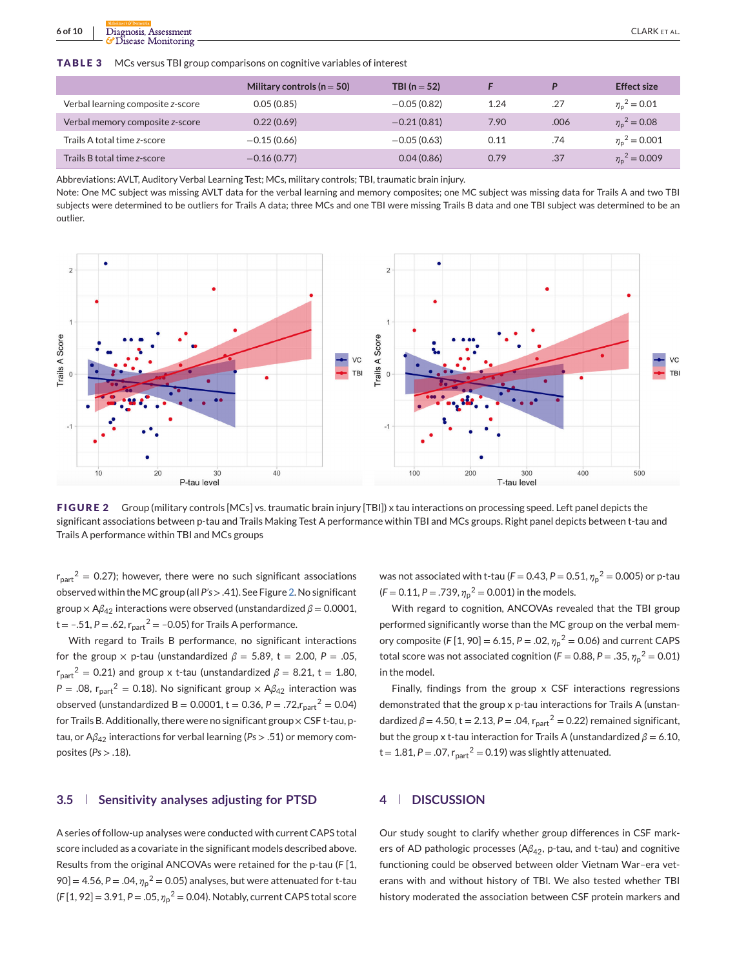<span id="page-5-0"></span>**6 of 10** <u>Diagnosis, Assessment</u><br> **6 of 10** <u>CLARK ET AL.</u><br> **6 Of 10** CLARK ET AL.

**TABLE 3** MCs versus TBI group comparisons on cognitive variables of interest

|                                   | Military controls ( $n = 50$ ) | TBI $(n = 52)$ |      | D    | <b>Effect size</b>         |
|-----------------------------------|--------------------------------|----------------|------|------|----------------------------|
| Verbal learning composite z-score | 0.05(0.85)                     | $-0.05(0.82)$  | 1.24 | .27  | $\eta_{\rm n}{}^2 = 0.01$  |
| Verbal memory composite z-score   | 0.22(0.69)                     | $-0.21(0.81)$  | 7.90 | .006 | $\eta_{\rm n}{}^2 = 0.08$  |
| Trails A total time z-score       | $-0.15(0.66)$                  | $-0.05(0.63)$  | 0.11 | .74  | $\eta_{\rm n}{}^2 = 0.001$ |
| Trails B total time z-score       | $-0.16(0.77)$                  | 0.04(0.86)     | 0.79 | .37  | $\eta_{\rm n}{}^2 = 0.009$ |

Abbreviations: AVLT, Auditory Verbal Learning Test; MCs, military controls; TBI, traumatic brain injury.

Note: One MC subject was missing AVLT data for the verbal learning and memory composites; one MC subject was missing data for Trails A and two TBI subjects were determined to be outliers for Trails A data; three MCs and one TBI were missing Trails B data and one TBI subject was determined to be an outlier.



**FIGURE 2** Group (military controls [MCs] vs. traumatic brain injury [TBI]) x tau interactions on processing speed. Left panel depicts the significant associations between p-tau and Trails Making Test A performance within TBI and MCs groups. Right panel depicts between t-tau and Trails A performance within TBI and MCs groups

 $r_{part}^2$  = 0.27); however, there were no such significant associations observed within theMC group (all *P's* > .41). See Figure 2. No significant group  $\times$  A $\beta_{42}$  interactions were observed (unstandardized  $\beta$  = 0.0001,  $t = -.51, P = .62, r_{part}^2 = -0.05$  for Trails A performance.

With regard to Trails B performance, no significant interactions for the group  $\times$  p-tau (unstandardized  $\beta$  = 5.89, t = 2.00, P = .05,  $r_{part}^2$  = 0.21) and group x t-tau (unstandardized  $\beta$  = 8.21, t = 1.80, *P* = .08,  $r_{part}^2$  = 0.18). No significant group  $\times$  A $\beta_{42}$  interaction was observed (unstandardized B = 0.0001, t = 0.36, P = .72, $r_{part}^2$  = 0.04) for Trails B. Additionally, there were no significant group  $\times$  CSF t-tau, ptau, or A*β*<sup>42</sup> interactions for verbal learning (*Ps* > .51) or memory composites (*Ps* > .18).

## **3.5 Sensitivity analyses adjusting for PTSD**

A series of follow-up analyses were conducted with current CAPS total score included as a covariate in the significant models described above. Results from the original ANCOVAs were retained for the p-tau (*F* [1, 90] = 4.56, P = .04,  $\eta_p^2$  = 0.05) analyses, but were attenuated for t-tau (*F* [1, 92] = 3.91, *P* = .05, *η*<sup>p</sup> <sup>2</sup> = 0.04). Notably, current CAPS total score

was not associated with t-tau ( $F = 0.43$ ,  $P = 0.51$ ,  ${\eta_\text{p}}^2 = 0.005$ ) or p-tau  $(F = 0.11, P = .739, \eta_p^2 = 0.001)$  in the models.

With regard to cognition, ANCOVAs revealed that the TBI group performed significantly worse than the MC group on the verbal memory composite (*F* [1, 90] = 6.15, *P* = .02, *η*<sup>p</sup> <sup>2</sup> = 0.06) and current CAPS total score was not associated cognition ( $F = 0.88$ ,  $P = .35$ ,  $\eta_p^2 = 0.01$ ) in the model.

Finally, findings from the group x CSF interactions regressions demonstrated that the group x p-tau interactions for Trails A (unstandardized  $β = 4.50$ , t = 2.13, P = .04,  $r_{part}^2 = 0.22$ ) remained significant, but the group x t-tau interaction for Trails A (unstandardized *β* = 6.10,  $t = 1.81$ ,  $P = .07$ ,  $r_{part}^2 = 0.19$ ) was slightly attenuated.

## **4 DISCUSSION**

Our study sought to clarify whether group differences in CSF markers of AD pathologic processes (A*β*42, p-tau, and t-tau) and cognitive functioning could be observed between older Vietnam War–era veterans with and without history of TBI. We also tested whether TBI history moderated the association between CSF protein markers and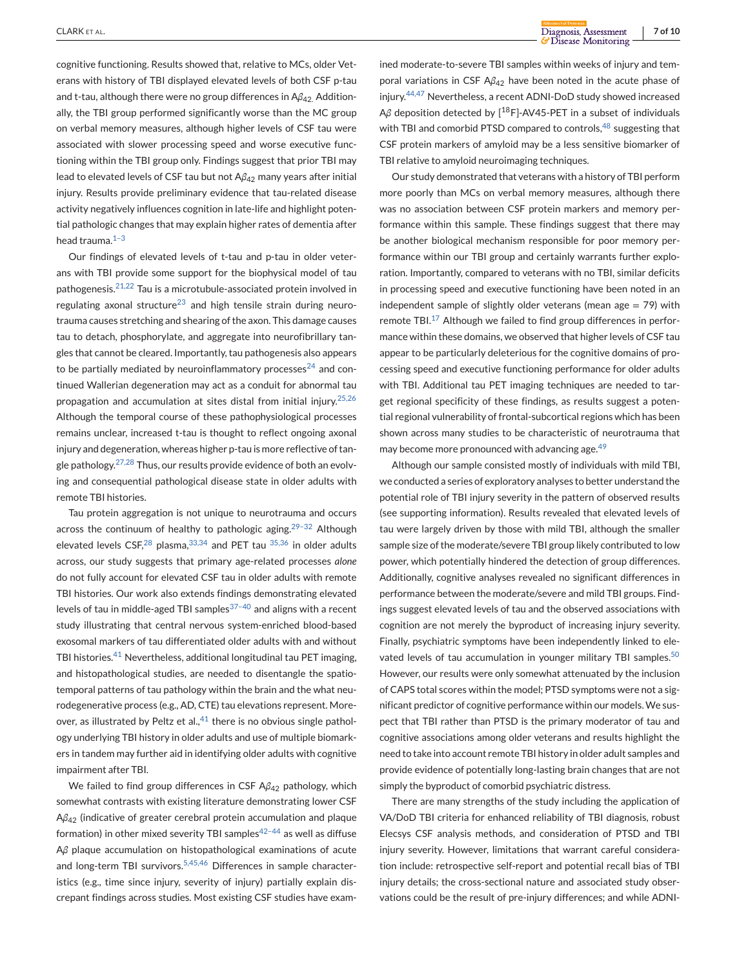cognitive functioning. Results showed that, relative to MCs, older Veterans with history of TBI displayed elevated levels of both CSF p-tau and t-tau, although there were no group differences in Aβ<sub>42</sub>. Additionally, the TBI group performed significantly worse than the MC group on verbal memory measures, although higher levels of CSF tau were associated with slower processing speed and worse executive functioning within the TBI group only. Findings suggest that prior TBI may lead to elevated levels of CSF tau but not Aβ<sub>42</sub> many years after initial injury. Results provide preliminary evidence that tau-related disease activity negatively influences cognition in late-life and highlight potential pathologic changes that may explain higher rates of dementia after head trauma.<sup>1-3</sup>

Our findings of elevated levels of t-tau and p-tau in older veterans with TBI provide some support for the biophysical model of tau pathogenesis.[21,22](#page-8-0) Tau is a microtubule-associated protein involved in regulating axonal structure<sup>[23](#page-8-0)</sup> and high tensile strain during neurotrauma causes stretching and shearing of the axon. This damage causes tau to detach, phosphorylate, and aggregate into neurofibrillary tangles that cannot be cleared. Importantly, tau pathogenesis also appears to be partially mediated by neuroinflammatory processes $24$  and continued Wallerian degeneration may act as a conduit for abnormal tau propagation and accumulation at sites distal from initial injury.[25,26](#page-8-0) Although the temporal course of these pathophysiological processes remains unclear, increased t-tau is thought to reflect ongoing axonal injury and degeneration, whereas higher p-tau is more reflective of tangle pathology. $27,28$  Thus, our results provide evidence of both an evolving and consequential pathological disease state in older adults with remote TBI histories.

Tau protein aggregation is not unique to neurotrauma and occurs across the continuum of healthy to pathologic aging.<sup>29-32</sup> Although elevated levels  $CSF<sub>1</sub><sup>28</sup>$  $CSF<sub>1</sub><sup>28</sup>$  $CSF<sub>1</sub><sup>28</sup>$  plasma,  $33,34$  and PET tau  $35,36$  in older adults across, our study suggests that primary age-related processes *alone* do not fully account for elevated CSF tau in older adults with remote TBI histories. Our work also extends findings demonstrating elevated levels of tau in middle-aged TBI samples $37-40$  and aligns with a recent study illustrating that central nervous system-enriched blood-based exosomal markers of tau differentiated older adults with and without TBI histories.<sup>[41](#page-8-0)</sup> Nevertheless, additional longitudinal tau PET imaging, and histopathological studies, are needed to disentangle the spatiotemporal patterns of tau pathology within the brain and the what neurodegenerative process (e.g., AD, CTE) tau elevations represent. Moreover, as illustrated by Peltz et al., $41$  there is no obvious single pathology underlying TBI history in older adults and use of multiple biomarkers in tandem may further aid in identifying older adults with cognitive impairment after TBI.

We failed to find group differences in CSF A*β*<sup>42</sup> pathology, which somewhat contrasts with existing literature demonstrating lower CSF A*β*<sup>42</sup> (indicative of greater cerebral protein accumulation and plaque formation) in other mixed severity TBI samples $42-44$  as well as diffuse A*β* plaque accumulation on histopathological examinations of acute and long-term TBI survivors.<sup>[5,45,46](#page-7-0)</sup> Differences in sample characteristics (e.g., time since injury, severity of injury) partially explain discrepant findings across studies. Most existing CSF studies have examined moderate-to-severe TBI samples within weeks of injury and temporal variations in CSF A*β*<sup>42</sup> have been noted in the acute phase of injury.<sup>[44,47](#page-8-0)</sup> Nevertheless, a recent ADNI-DoD study showed increased Aβ deposition detected by [<sup>18</sup>F]-AV45-PET in a subset of individuals with TBI and comorbid PTSD compared to controls,<sup>[48](#page-9-0)</sup> suggesting that CSF protein markers of amyloid may be a less sensitive biomarker of TBI relative to amyloid neuroimaging techniques.

Our study demonstrated that veterans with a history of TBI perform more poorly than MCs on verbal memory measures, although there was no association between CSF protein markers and memory performance within this sample. These findings suggest that there may be another biological mechanism responsible for poor memory performance within our TBI group and certainly warrants further exploration. Importantly, compared to veterans with no TBI, similar deficits in processing speed and executive functioning have been noted in an independent sample of slightly older veterans (mean age  $=$  79) with remote TBI.<sup>[17](#page-8-0)</sup> Although we failed to find group differences in performance within these domains, we observed that higher levels of CSF tau appear to be particularly deleterious for the cognitive domains of processing speed and executive functioning performance for older adults with TBI. Additional tau PET imaging techniques are needed to target regional specificity of these findings, as results suggest a potential regional vulnerability of frontal-subcortical regions which has been shown across many studies to be characteristic of neurotrauma that may become more pronounced with advancing age.<sup>[49](#page-9-0)</sup>

Although our sample consisted mostly of individuals with mild TBI, we conducted a series of exploratory analyses to better understand the potential role of TBI injury severity in the pattern of observed results (see supporting information). Results revealed that elevated levels of tau were largely driven by those with mild TBI, although the smaller sample size of the moderate/severe TBI group likely contributed to low power, which potentially hindered the detection of group differences. Additionally, cognitive analyses revealed no significant differences in performance between the moderate/severe and mild TBI groups. Findings suggest elevated levels of tau and the observed associations with cognition are not merely the byproduct of increasing injury severity. Finally, psychiatric symptoms have been independently linked to ele-vated levels of tau accumulation in younger military TBI samples.<sup>[50](#page-9-0)</sup> However, our results were only somewhat attenuated by the inclusion of CAPS total scores within the model; PTSD symptoms were not a significant predictor of cognitive performance within our models. We suspect that TBI rather than PTSD is the primary moderator of tau and cognitive associations among older veterans and results highlight the need to take into account remote TBI history in older adult samples and provide evidence of potentially long-lasting brain changes that are not simply the byproduct of comorbid psychiatric distress.

There are many strengths of the study including the application of VA/DoD TBI criteria for enhanced reliability of TBI diagnosis, robust Elecsys CSF analysis methods, and consideration of PTSD and TBI injury severity. However, limitations that warrant careful consideration include: retrospective self-report and potential recall bias of TBI injury details; the cross-sectional nature and associated study observations could be the result of pre-injury differences; and while ADNI-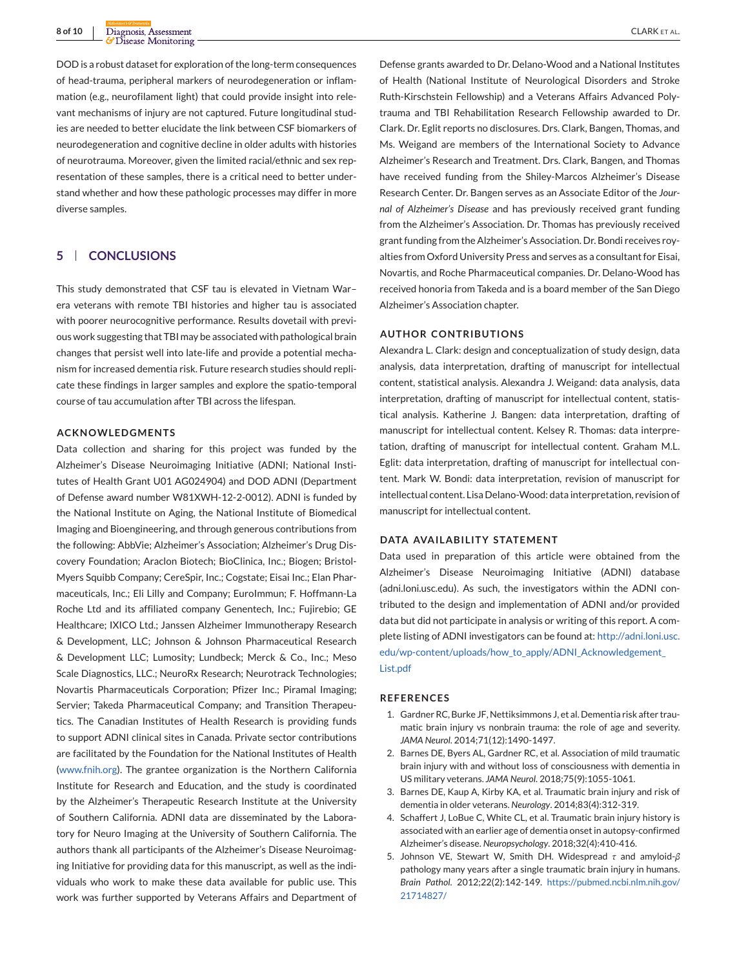<span id="page-7-0"></span>DOD is a robust dataset for exploration of the long-term consequences of head-trauma, peripheral markers of neurodegeneration or inflammation (e.g., neurofilament light) that could provide insight into relevant mechanisms of injury are not captured. Future longitudinal studies are needed to better elucidate the link between CSF biomarkers of neurodegeneration and cognitive decline in older adults with histories of neurotrauma. Moreover, given the limited racial/ethnic and sex representation of these samples, there is a critical need to better understand whether and how these pathologic processes may differ in more diverse samples.

## **5 CONCLUSIONS**

This study demonstrated that CSF tau is elevated in Vietnam War– era veterans with remote TBI histories and higher tau is associated with poorer neurocognitive performance. Results dovetail with previous work suggesting that TBI may be associated with pathological brain changes that persist well into late-life and provide a potential mechanism for increased dementia risk. Future research studies should replicate these findings in larger samples and explore the spatio-temporal course of tau accumulation after TBI across the lifespan.

## **ACKNOWLEDGMENTS**

Data collection and sharing for this project was funded by the Alzheimer's Disease Neuroimaging Initiative (ADNI; National Institutes of Health Grant U01 AG024904) and DOD ADNI (Department of Defense award number W81XWH-12-2-0012). ADNI is funded by the National Institute on Aging, the National Institute of Biomedical Imaging and Bioengineering, and through generous contributions from the following: AbbVie; Alzheimer's Association; Alzheimer's Drug Discovery Foundation; Araclon Biotech; BioClinica, Inc.; Biogen; Bristol-Myers Squibb Company; CereSpir, Inc.; Cogstate; Eisai Inc.; Elan Pharmaceuticals, Inc.; Eli Lilly and Company; EuroImmun; F. Hoffmann-La Roche Ltd and its affiliated company Genentech, Inc.; Fujirebio; GE Healthcare; IXICO Ltd.; Janssen Alzheimer Immunotherapy Research & Development, LLC; Johnson & Johnson Pharmaceutical Research & Development LLC; Lumosity; Lundbeck; Merck & Co., Inc.; Meso Scale Diagnostics, LLC.; NeuroRx Research; Neurotrack Technologies; Novartis Pharmaceuticals Corporation; Pfizer Inc.; Piramal Imaging; Servier; Takeda Pharmaceutical Company; and Transition Therapeutics. The Canadian Institutes of Health Research is providing funds to support ADNI clinical sites in Canada. Private sector contributions are facilitated by the Foundation for the National Institutes of Health [\(www.fnih.org\)](http://www.fnih.org). The grantee organization is the Northern California Institute for Research and Education, and the study is coordinated by the Alzheimer's Therapeutic Research Institute at the University of Southern California. ADNI data are disseminated by the Laboratory for Neuro Imaging at the University of Southern California. The authors thank all participants of the Alzheimer's Disease Neuroimaging Initiative for providing data for this manuscript, as well as the individuals who work to make these data available for public use. This work was further supported by Veterans Affairs and Department of

Defense grants awarded to Dr. Delano-Wood and a National Institutes of Health (National Institute of Neurological Disorders and Stroke Ruth-Kirschstein Fellowship) and a Veterans Affairs Advanced Polytrauma and TBI Rehabilitation Research Fellowship awarded to Dr. Clark. Dr. Eglit reports no disclosures. Drs. Clark, Bangen, Thomas, and Ms. Weigand are members of the International Society to Advance Alzheimer's Research and Treatment. Drs. Clark, Bangen, and Thomas have received funding from the Shiley-Marcos Alzheimer's Disease Research Center. Dr. Bangen serves as an Associate Editor of the *Journal of Alzheimer's Disease* and has previously received grant funding from the Alzheimer's Association. Dr. Thomas has previously received grant funding from the Alzheimer's Association. Dr. Bondi receives royalties from Oxford University Press and serves as a consultant for Eisai, Novartis, and Roche Pharmaceutical companies. Dr. Delano-Wood has received honoria from Takeda and is a board member of the San Diego Alzheimer's Association chapter.

#### **AUTHOR CONTRIBUTIONS**

Alexandra L. Clark: design and conceptualization of study design, data analysis, data interpretation, drafting of manuscript for intellectual content, statistical analysis. Alexandra J. Weigand: data analysis, data interpretation, drafting of manuscript for intellectual content, statistical analysis. Katherine J. Bangen: data interpretation, drafting of manuscript for intellectual content. Kelsey R. Thomas: data interpretation, drafting of manuscript for intellectual content. Graham M.L. Eglit: data interpretation, drafting of manuscript for intellectual content. Mark W. Bondi: data interpretation, revision of manuscript for intellectual content. Lisa Delano-Wood: data interpretation, revision of manuscript for intellectual content.

#### **DATA AVAILABILITY STATEMENT**

Data used in preparation of this article were obtained from the Alzheimer's Disease Neuroimaging Initiative (ADNI) database (adni.loni.usc.edu). As such, the investigators within the ADNI contributed to the design and implementation of ADNI and/or provided data but did not participate in analysis or writing of this report. A complete listing of ADNI investigators can be found at: [http://adni.loni.usc.](http://adni.loni.usc.edu/wp-content/uploads/how_to_apply/ADNI_Acknowledgement_List.pdf) [edu/wp-content/uploads/how\\_to\\_apply/ADNI\\_Acknowledgement\\_](http://adni.loni.usc.edu/wp-content/uploads/how_to_apply/ADNI_Acknowledgement_List.pdf) [List.pdf](http://adni.loni.usc.edu/wp-content/uploads/how_to_apply/ADNI_Acknowledgement_List.pdf)

#### **REFERENCES**

- 1. Gardner RC, Burke JF, Nettiksimmons J, et al. Dementia risk after traumatic brain injury vs nonbrain trauma: the role of age and severity. *JAMA Neurol*. 2014;71(12):1490-1497.
- 2. Barnes DE, Byers AL, Gardner RC, et al. Association of mild traumatic brain injury with and without loss of consciousness with dementia in US military veterans. *JAMA Neurol*. 2018;75(9):1055-1061.
- 3. Barnes DE, Kaup A, Kirby KA, et al. Traumatic brain injury and risk of dementia in older veterans. *Neurology*. 2014;83(4):312-319.
- 4. Schaffert J, LoBue C, White CL, et al. Traumatic brain injury history is associated with an earlier age of dementia onset in autopsy-confirmed Alzheimer's disease. *Neuropsychology*. 2018;32(4):410-416.
- 5. Johnson VE, Stewart W, Smith DH. Widespread *τ* and amyloid-*β* pathology many years after a single traumatic brain injury in humans. *Brain Pathol*. 2012;22(2):142-149. [https://pubmed.ncbi.nlm.nih.gov/](https://pubmed.ncbi.nlm.nih.gov/21714827/) [21714827/](https://pubmed.ncbi.nlm.nih.gov/21714827/)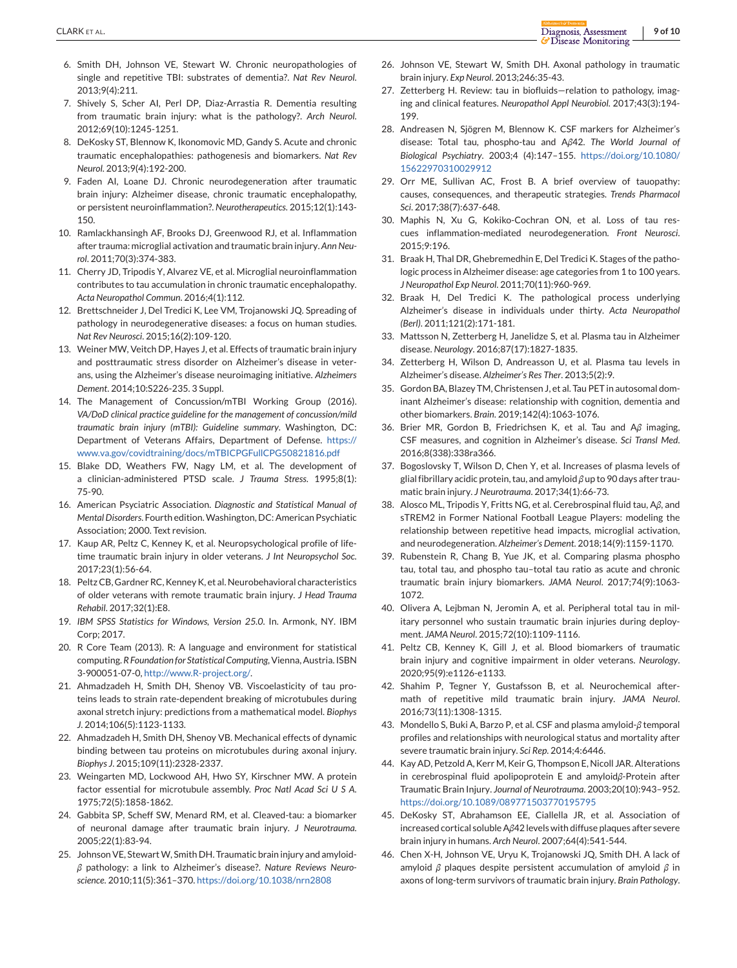- <span id="page-8-0"></span>6. Smith DH, Johnson VE, Stewart W. Chronic neuropathologies of single and repetitive TBI: substrates of dementia?. *Nat Rev Neurol*. 2013;9(4):211.
- 7. Shively S, Scher AI, Perl DP, Diaz-Arrastia R. Dementia resulting from traumatic brain injury: what is the pathology?. *Arch Neurol*. 2012;69(10):1245-1251.
- 8. DeKosky ST, Blennow K, Ikonomovic MD, Gandy S. Acute and chronic traumatic encephalopathies: pathogenesis and biomarkers. *Nat Rev Neurol*. 2013;9(4):192-200.
- 9. Faden AI, Loane DJ. Chronic neurodegeneration after traumatic brain injury: Alzheimer disease, chronic traumatic encephalopathy, or persistent neuroinflammation?. *Neurotherapeutics*. 2015;12(1):143- 150.
- 10. Ramlackhansingh AF, Brooks DJ, Greenwood RJ, et al. Inflammation after trauma: microglial activation and traumatic brain injury. *Ann Neurol*. 2011;70(3):374-383.
- 11. Cherry JD, Tripodis Y, Alvarez VE, et al. Microglial neuroinflammation contributes to tau accumulation in chronic traumatic encephalopathy. *Acta Neuropathol Commun*. 2016;4(1):112.
- 12. Brettschneider J, Del Tredici K, Lee VM, Trojanowski JQ. Spreading of pathology in neurodegenerative diseases: a focus on human studies. *Nat Rev Neurosci*. 2015;16(2):109-120.
- 13. Weiner MW, Veitch DP, Hayes J, et al. Effects of traumatic brain injury and posttraumatic stress disorder on Alzheimer's disease in veterans, using the Alzheimer's disease neuroimaging initiative. *Alzheimers Dement*. 2014;10:S226-235. 3 Suppl.
- 14. The Management of Concussion/mTBI Working Group (2016). *VA/DoD clinical practice guideline for the management of concussion/mild traumatic brain injury (mTBI): Guideline summary*. Washington, DC: Department of Veterans Affairs, Department of Defense. [https://](https://www.va.gov/covidtraining/docs/mTBICPGFullCPG50821816.pdf) [www.va.gov/covidtraining/docs/mTBICPGFullCPG50821816.pdf](https://www.va.gov/covidtraining/docs/mTBICPGFullCPG50821816.pdf)
- 15. Blake DD, Weathers FW, Nagy LM, et al. The development of a clinician-administered PTSD scale. *J Trauma Stress*. 1995;8(1): 75-90.
- 16. American Psyciatric Association. *Diagnostic and Statistical Manual of Mental Disorders*. Fourth edition.Washington, DC: American Psychiatic Association; 2000. Text revision.
- 17. Kaup AR, Peltz C, Kenney K, et al. Neuropsychological profile of lifetime traumatic brain injury in older veterans. *J Int Neuropsychol Soc*. 2017;23(1):56-64.
- 18. Peltz CB, Gardner RC, Kenney K, et al. Neurobehavioral characteristics of older veterans with remote traumatic brain injury. *J Head Trauma Rehabil*. 2017;32(1):E8.
- 19. *IBM SPSS Statistics for Windows, Version 25.0*. In. Armonk, NY. IBM Corp; 2017.
- 20. R Core Team (2013). R: A language and environment for statistical computing. *R Foundation for Statistical Computing*, Vienna, Austria. ISBN 3-900051-07-0, [http://www.R-project.org/.](http://www.R-project.org/)
- 21. Ahmadzadeh H, Smith DH, Shenoy VB. Viscoelasticity of tau proteins leads to strain rate-dependent breaking of microtubules during axonal stretch injury: predictions from a mathematical model. *Biophys J*. 2014;106(5):1123-1133.
- 22. Ahmadzadeh H, Smith DH, Shenoy VB. Mechanical effects of dynamic binding between tau proteins on microtubules during axonal injury. *Biophys J*. 2015;109(11):2328-2337.
- 23. Weingarten MD, Lockwood AH, Hwo SY, Kirschner MW. A protein factor essential for microtubule assembly. *Proc Natl Acad Sci U S A*. 1975;72(5):1858-1862.
- 24. Gabbita SP, Scheff SW, Menard RM, et al. Cleaved-tau: a biomarker of neuronal damage after traumatic brain injury. *J Neurotrauma*. 2005;22(1):83-94.
- 25. Johnson VE, Stewart W, Smith DH. Traumatic brain injury and amyloid*β* pathology: a link to Alzheimer's disease?. *Nature Reviews Neuroscience*. 2010;11(5):361–370. <https://doi.org/10.1038/nrn2808>
- 26. Johnson VE, Stewart W, Smith DH. Axonal pathology in traumatic brain injury. *Exp Neurol*. 2013;246:35-43.
- 27. Zetterberg H. Review: tau in biofluids—relation to pathology, imaging and clinical features. *Neuropathol Appl Neurobiol*. 2017;43(3):194- 199.
- 28. Andreasen N, Sjögren M, Blennow K. CSF markers for Alzheimer's disease: Total tau, phospho-tau and A*β*42. *The World Journal of Biological Psychiatry*. 2003;4 (4):147–155. [https://doi.org/10.1080/](https://doi.org/10.1080/15622970310029912) [15622970310029912](https://doi.org/10.1080/15622970310029912)
- 29. Orr ME, Sullivan AC, Frost B. A brief overview of tauopathy: causes, consequences, and therapeutic strategies. *Trends Pharmacol Sci*. 2017;38(7):637-648.
- 30. Maphis N, Xu G, Kokiko-Cochran ON, et al. Loss of tau rescues inflammation-mediated neurodegeneration. *Front Neurosci*. 2015;9:196.
- 31. Braak H, Thal DR, Ghebremedhin E, Del Tredici K. Stages of the pathologic process in Alzheimer disease: age categories from 1 to 100 years. *J Neuropathol Exp Neurol*. 2011;70(11):960-969.
- 32. Braak H, Del Tredici K. The pathological process underlying Alzheimer's disease in individuals under thirty. *Acta Neuropathol (Berl)*. 2011;121(2):171-181.
- 33. Mattsson N, Zetterberg H, Janelidze S, et al. Plasma tau in Alzheimer disease. *Neurology*. 2016;87(17):1827-1835.
- 34. Zetterberg H, Wilson D, Andreasson U, et al. Plasma tau levels in Alzheimer's disease. *Alzheimer's Res Ther*. 2013;5(2):9.
- 35. Gordon BA, Blazey TM, Christensen J, et al. Tau PET in autosomal dominant Alzheimer's disease: relationship with cognition, dementia and other biomarkers. *Brain*. 2019;142(4):1063-1076.
- 36. Brier MR, Gordon B, Friedrichsen K, et al. Tau and A*β* imaging, CSF measures, and cognition in Alzheimer's disease. *Sci Transl Med*. 2016;8(338):338ra366.
- 37. Bogoslovsky T, Wilson D, Chen Y, et al. Increases of plasma levels of glial fibrillary acidic protein, tau, and amyloid *β* up to 90 days after traumatic brain injury. *J Neurotrauma*. 2017;34(1):66-73.
- 38. Alosco ML, Tripodis Y, Fritts NG, et al. Cerebrospinal fluid tau, A*β*, and sTREM2 in Former National Football League Players: modeling the relationship between repetitive head impacts, microglial activation, and neurodegeneration. *Alzheimer's Dement*. 2018;14(9):1159-1170.
- 39. Rubenstein R, Chang B, Yue JK, et al. Comparing plasma phospho tau, total tau, and phospho tau–total tau ratio as acute and chronic traumatic brain injury biomarkers. *JAMA Neurol*. 2017;74(9):1063- 1072.
- 40. Olivera A, Lejbman N, Jeromin A, et al. Peripheral total tau in military personnel who sustain traumatic brain injuries during deployment. *JAMA Neurol*. 2015;72(10):1109-1116.
- 41. Peltz CB, Kenney K, Gill J, et al. Blood biomarkers of traumatic brain injury and cognitive impairment in older veterans. *Neurology*. 2020;95(9):e1126-e1133.
- 42. Shahim P, Tegner Y, Gustafsson B, et al. Neurochemical aftermath of repetitive mild traumatic brain injury. *JAMA Neurol*. 2016;73(11):1308-1315.
- 43. Mondello S, Buki A, Barzo P, et al. CSF and plasma amyloid-*β* temporal profiles and relationships with neurological status and mortality after severe traumatic brain injury. *Sci Rep*. 2014;4:6446.
- 44. Kay AD, Petzold A, Kerr M, Keir G, Thompson E, Nicoll JAR. Alterations in cerebrospinal fluid apolipoprotein E and amyloid*β*-Protein after Traumatic Brain Injury. *Journal of Neurotrauma*. 2003;20(10):943–952. <https://doi.org/10.1089/089771503770195795>
- 45. DeKosky ST, Abrahamson EE, Ciallella JR, et al. Association of increased cortical soluble A*β*42 levels with diffuse plaques after severe brain injury in humans. *Arch Neurol*. 2007;64(4):541-544.
- 46. Chen X-H, Johnson VE, Uryu K, Trojanowski JQ, Smith DH. A lack of amyloid *β* plaques despite persistent accumulation of amyloid *β* in axons of long-term survivors of traumatic brain injury. *Brain Pathology*.